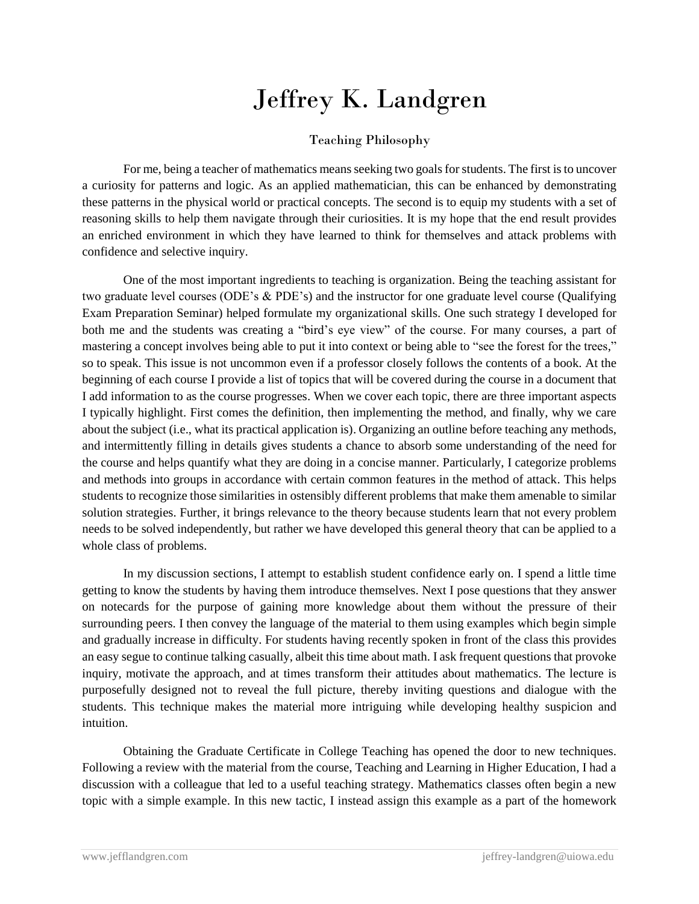## Jeffrey K. Landgren

## Teaching Philosophy

For me, being a teacher of mathematics means seeking two goals for students. The first is to uncover a curiosity for patterns and logic. As an applied mathematician, this can be enhanced by demonstrating these patterns in the physical world or practical concepts. The second is to equip my students with a set of reasoning skills to help them navigate through their curiosities. It is my hope that the end result provides an enriched environment in which they have learned to think for themselves and attack problems with confidence and selective inquiry.

One of the most important ingredients to teaching is organization. Being the teaching assistant for two graduate level courses (ODE's & PDE's) and the instructor for one graduate level course (Qualifying Exam Preparation Seminar) helped formulate my organizational skills. One such strategy I developed for both me and the students was creating a "bird's eye view" of the course. For many courses, a part of mastering a concept involves being able to put it into context or being able to "see the forest for the trees," so to speak. This issue is not uncommon even if a professor closely follows the contents of a book. At the beginning of each course I provide a list of topics that will be covered during the course in a document that I add information to as the course progresses. When we cover each topic, there are three important aspects I typically highlight. First comes the definition, then implementing the method, and finally, why we care about the subject (i.e., what its practical application is). Organizing an outline before teaching any methods, and intermittently filling in details gives students a chance to absorb some understanding of the need for the course and helps quantify what they are doing in a concise manner. Particularly, I categorize problems and methods into groups in accordance with certain common features in the method of attack. This helps students to recognize those similarities in ostensibly different problems that make them amenable to similar solution strategies. Further, it brings relevance to the theory because students learn that not every problem needs to be solved independently, but rather we have developed this general theory that can be applied to a whole class of problems.

In my discussion sections, I attempt to establish student confidence early on. I spend a little time getting to know the students by having them introduce themselves. Next I pose questions that they answer on notecards for the purpose of gaining more knowledge about them without the pressure of their surrounding peers. I then convey the language of the material to them using examples which begin simple and gradually increase in difficulty. For students having recently spoken in front of the class this provides an easy segue to continue talking casually, albeit this time about math. I ask frequent questions that provoke inquiry, motivate the approach, and at times transform their attitudes about mathematics. The lecture is purposefully designed not to reveal the full picture, thereby inviting questions and dialogue with the students. This technique makes the material more intriguing while developing healthy suspicion and intuition.

Obtaining the Graduate Certificate in College Teaching has opened the door to new techniques. Following a review with the material from the course, Teaching and Learning in Higher Education, I had a discussion with a colleague that led to a useful teaching strategy. Mathematics classes often begin a new topic with a simple example. In this new tactic, I instead assign this example as a part of the homework